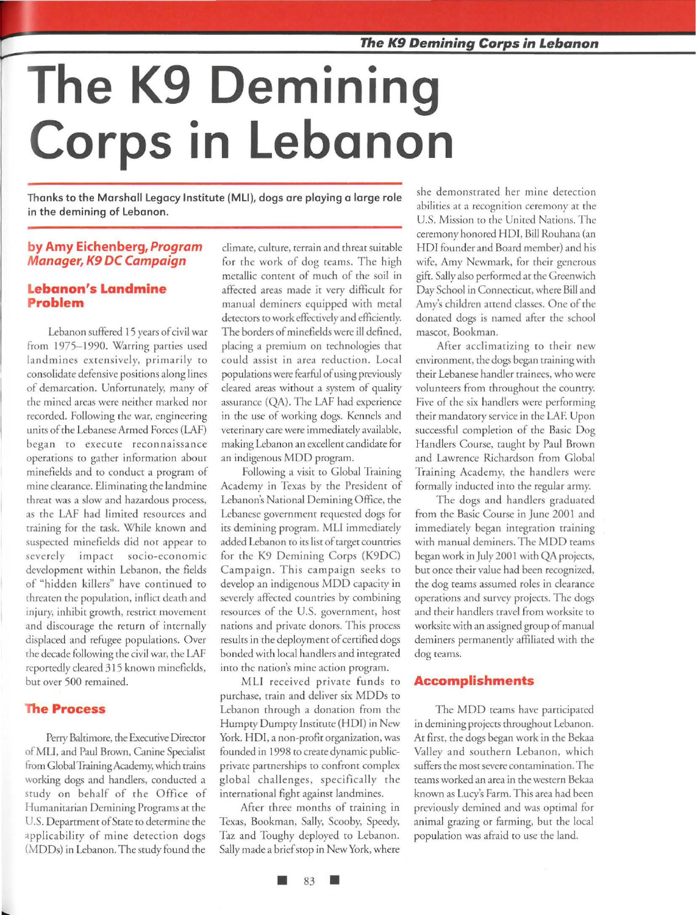# **The K9 Demining Corps in lebanon**

Thanks to the Marshall Legacy Institute (MLI), dogs are playing a large role in the demining of Lebanon.

### **by Amy Eichenberg, Program M anager, K9 DC Campaign**

## **Lebanon's Landmine roblem**

Lebanon suffered 15 years of civil war from 1975-1990. Warring parties used landmines extensively, primarily to consolidate defensive positions along lines of demarcation. Unfortunately, many of the mined areas were neither marked nor recorded. Following the war, engineering units of rhe Lebanese Armed Forces (LAF) began to execute reconnaissance operations to gather information about minefields and to conduct a program of mine clearance. Eliminating the landmine threat was a slow and hazardous process, as rhe LAF had limited resources and training for the task. While known and suspected minefields did not appear to severely impact socio-economic development within Lebanon, the fields of "hidden killers" have continued ro threaten the population, inflict death and injury, inhibit growth, restrict movement and discourage the return of internally displaced and refugee populations. Over the decade following the civil war, the LAF reportedly cleared 3 15 known minefields, but over 500 remained.

### **The Process**

Perry Baltimore, the Executive Director of MLI, and Paul Brown, Canine Specialist from GlobalTrainingAcademy, which trains working dogs and handlers, conducted a study on behalf of the Office of Humanitarian Demining Programs at the U.S. Deparrment of Stare to determine the applicability of mine detection dogs (MODs) in Lebanon. The study found the

climate, culture, terrain and threat suitable for the work of dog teams. The high metallic content of much of the soil in affected areas made ir very difficult for manual deminers equipped with metal detectors to work effectively and efficiently. The borders of minefields were ill defined, placing a premium on technologies that could assist in area reduction. Local populations were fearful of using previously cleared areas without a system of quality assurance (QA). The LAF had experience in the use of working dogs. Kennels and veterinary care were immediately available, making Lebanon an excellent candidate for an indigenous MOD program.

Following a visit to Global Training Academy in Texas by the Presidem of Lebanon's National Oemining Office, the Lebanese government requested dogs for irs demining program. MLI immediately added Lebanon to irs list of target countries for rhe K9 Demining Corps (K9DC) Campaign. This campaign seeks to develop an indigenous MOD capaciry in severely affected countries by combining resources of the U.S. government, host nations and private donors. This process results in the deployment of certified dogs bonded with local handlers and integrated into the nation's mine action program.

MLI received private funds to purchase, train and deliver six MODs to Lebanon through a donation from the Humpty Dumpty Institute (HOI) in New York. HOI, a non-profit organization, was founded in 1998 to create dynamic publicprivate partnerships to confront complex global challenges, specifically the international fighr against landmines.

After three months of training in Texas, Bookman, Sally, *Scooby,* Speedy, Taz and Toughy deployed ro Lebanon. Sally made a brief stop in New York, where she demonstrated her mine detection abilities at a recognition ceremony at the U.S. Mission to the United Nations. The ceremony honored HDI, Bill Rouhana (an HOI founder and Board member) and his wife, Amy Newmark, for their generous gift. Sally also performed at the Greenwich Day School in Connecticut, where Bill and *Amy's* children arrend classes. One of the donated dogs is named after the school mascot, Bookman.

After acclimatizing ro their new environment, the dogs began rraining with rheir Lebanese handler trainees, who were volunteers from throughout rhe country. Five of the six handlers were performing their mandatory service in the LAF. Upon successful completion of the Basic Dog Handlers Course, taught by Paul Brown and Lawrence Richardson from Global Training Academy, the handlers were formally inducted into the regular army.

The dogs and handlers graduated from the Basic Course in June 2001 and immediately began imegration training with manual deminers. The MOD reams began work in July 2001 with QA projects, but once their value had been recognized, rhe dog reams assumed roles in clearance operations and survey projects. The dogs and their handlers travel from worksire to worksite with an assigned group of manual deminers permanently affiliated with the dog reams.

#### **Accomplishments**

The MOD teams have participated in demining projects throughout Lebanon. At first, the dogs began work in rhe Bekaa Valley and southern Lebanon, which suffers the most severe contamination. The teams worked an area in the western Bekaa known as Lucy's Farm. This area had been previously demined and was optimal for animal grazing or farming, bur rhe local population was afraid to use the land.

83 **•**